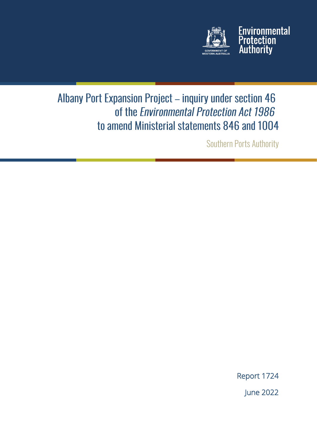

Environmental<br>Protection<br>Authority

# Albany Port Expansion Project - inquiry under section 46 of the Environmental Protection Act 1986 to amend Ministerial statements 846 and 1004

**Southern Ports Authority** 

Report 1724 June 2022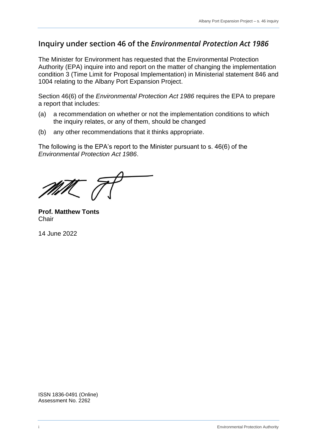#### **Inquiry under section 46 of the** *Environmental Protection Act 1986*

The Minister for Environment has requested that the Environmental Protection Authority (EPA) inquire into and report on the matter of changing the implementation condition 3 (Time Limit for Proposal Implementation) in Ministerial statement 846 and 1004 relating to the Albany Port Expansion Project.

Section 46(6) of the *Environmental Protection Act 1986* requires the EPA to prepare a report that includes:

- (a) a recommendation on whether or not the implementation conditions to which the inquiry relates, or any of them, should be changed
- (b) any other recommendations that it thinks appropriate.

The following is the EPA's report to the Minister pursuant to s. 46(6) of the *Environmental Protection Act 1986*.

M (

**Prof. Matthew Tonts Chair** 

14 June 2022

ISSN 1836-0491 (Online) Assessment No. 2262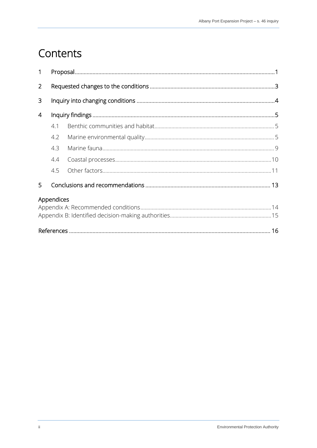# Contents

| $\mathbf{1}$ |            |  |  |  |
|--------------|------------|--|--|--|
| 2            |            |  |  |  |
| 3            |            |  |  |  |
| 4            |            |  |  |  |
|              | 4.1        |  |  |  |
|              | 4.2        |  |  |  |
|              | 4.3        |  |  |  |
|              | 4.4        |  |  |  |
|              | 4.5        |  |  |  |
| 5            |            |  |  |  |
|              | Appendices |  |  |  |
|              |            |  |  |  |
|              |            |  |  |  |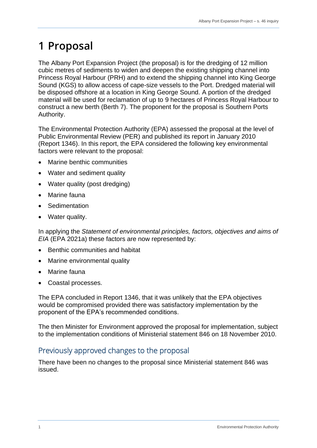## <span id="page-4-0"></span>**1 Proposal**

The Albany Port Expansion Project (the proposal) is for the dredging of 12 million cubic metres of sediments to widen and deepen the existing shipping channel into Princess Royal Harbour (PRH) and to extend the shipping channel into King George Sound (KGS) to allow access of cape-size vessels to the Port. Dredged material will be disposed offshore at a location in King George Sound. A portion of the dredged material will be used for reclamation of up to 9 hectares of Princess Royal Harbour to construct a new berth (Berth 7). The proponent for the proposal is Southern Ports Authority.

The Environmental Protection Authority (EPA) assessed the proposal at the level of Public Environmental Review (PER) and published its report in January 2010 (Report 1346). In this report, the EPA considered the following key environmental factors were relevant to the proposal:

- Marine benthic communities
- Water and sediment quality
- Water quality (post dredging)
- Marine fauna
- Sedimentation
- Water quality.

In applying the *Statement of environmental principles, factors, objectives and aims of EIA* (EPA 2021a) these factors are now represented by:

- Benthic communities and habitat
- Marine environmental quality
- Marine fauna
- Coastal processes.

The EPA concluded in Report 1346, that it was unlikely that the EPA objectives would be compromised provided there was satisfactory implementation by the proponent of the EPA's recommended conditions.

The then Minister for Environment approved the proposal for implementation, subject to the implementation conditions of Ministerial statement 846 on 18 November 2010.

### Previously approved changes to the proposal

There have been no changes to the proposal since Ministerial statement 846 was issued.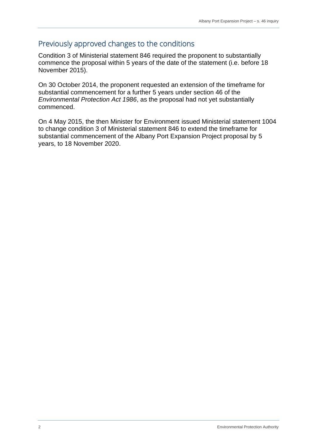### Previously approved changes to the conditions

Condition 3 of Ministerial statement 846 required the proponent to substantially commence the proposal within 5 years of the date of the statement (i.e. before 18 November 2015).

On 30 October 2014, the proponent requested an extension of the timeframe for substantial commencement for a further 5 years under section 46 of the *Environmental Protection Act 1986*, as the proposal had not yet substantially commenced.

On 4 May 2015, the then Minister for Environment issued Ministerial statement 1004 to change condition 3 of Ministerial statement 846 to extend the timeframe for substantial commencement of the Albany Port Expansion Project proposal by 5 years, to 18 November 2020.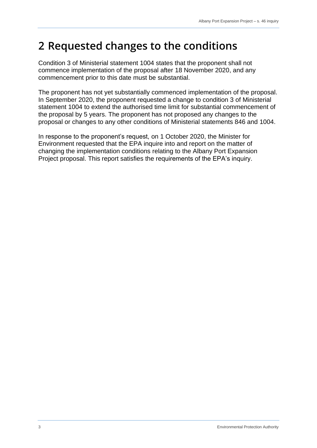## <span id="page-6-0"></span>**2 Requested changes to the conditions**

Condition 3 of Ministerial statement 1004 states that the proponent shall not commence implementation of the proposal after 18 November 2020, and any commencement prior to this date must be substantial.

The proponent has not yet substantially commenced implementation of the proposal. In September 2020, the proponent requested a change to condition 3 of Ministerial statement 1004 to extend the authorised time limit for substantial commencement of the proposal by 5 years. The proponent has not proposed any changes to the proposal or changes to any other conditions of Ministerial statements 846 and 1004.

In response to the proponent's request, on 1 October 2020, the Minister for Environment requested that the EPA inquire into and report on the matter of changing the implementation conditions relating to the Albany Port Expansion Project proposal. This report satisfies the requirements of the EPA's inquiry.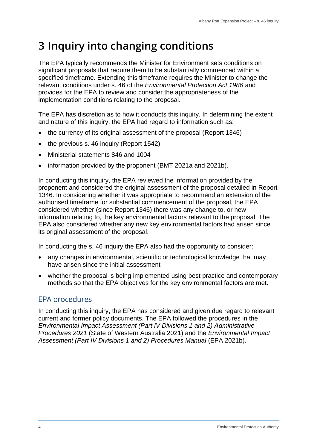## <span id="page-7-0"></span>**3 Inquiry into changing conditions**

The EPA typically recommends the Minister for Environment sets conditions on significant proposals that require them to be substantially commenced within a specified timeframe. Extending this timeframe requires the Minister to change the relevant conditions under s. 46 of the *Environmental Protection Act 1986* and provides for the EPA to review and consider the appropriateness of the implementation conditions relating to the proposal.

The EPA has discretion as to how it conducts this inquiry. In determining the extent and nature of this inquiry, the EPA had regard to information such as:

- the currency of its original assessment of the proposal (Report 1346)
- the previous s. 46 inquiry (Report 1542)
- Ministerial statements 846 and 1004
- information provided by the proponent (BMT 2021a and 2021b).

In conducting this inquiry, the EPA reviewed the information provided by the proponent and considered the original assessment of the proposal detailed in Report 1346. In considering whether it was appropriate to recommend an extension of the authorised timeframe for substantial commencement of the proposal, the EPA considered whether (since Report 1346) there was any change to, or new information relating to, the key environmental factors relevant to the proposal. The EPA also considered whether any new key environmental factors had arisen since its original assessment of the proposal.

In conducting the s. 46 inquiry the EPA also had the opportunity to consider:

- any changes in environmental, scientific or technological knowledge that may have arisen since the initial assessment
- whether the proposal is being implemented using best practice and contemporary methods so that the EPA objectives for the key environmental factors are met.

### EPA procedures

In conducting this inquiry, the EPA has considered and given due regard to relevant current and former policy documents. The EPA followed the procedures in the *Environmental Impact Assessment (Part IV Divisions 1 and 2) Administrative Procedures 2021* (State of Western Australia 2021) and the *Environmental Impact Assessment (Part IV Divisions 1 and 2) Procedures Manual* (EPA 2021b).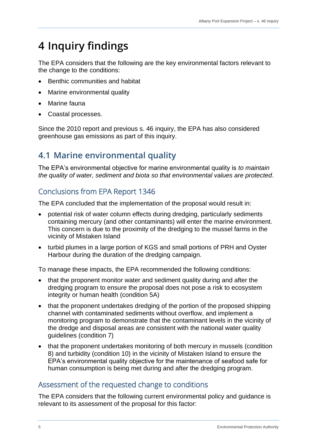# <span id="page-8-0"></span>**4 Inquiry findings**

The EPA considers that the following are the key environmental factors relevant to the change to the conditions:

- Benthic communities and habitat
- Marine environmental quality
- Marine fauna
- Coastal processes.

Since the 2010 report and previous s. 46 inquiry, the EPA has also considered greenhouse gas emissions as part of this inquiry.

## <span id="page-8-1"></span>**4.1 Marine environmental quality**

The EPA's environmental objective for marine environmental quality is *to maintain the quality of water, sediment and biota so that environmental values are protected*.

### Conclusions from EPA Report 1346

The EPA concluded that the implementation of the proposal would result in:

- potential risk of water column effects during dredging, particularly sediments containing mercury (and other contaminants) will enter the marine environment. This concern is due to the proximity of the dredging to the mussel farms in the vicinity of Mistaken Island
- turbid plumes in a large portion of KGS and small portions of PRH and Oyster Harbour during the duration of the dredging campaign.

To manage these impacts, the EPA recommended the following conditions:

- that the proponent monitor water and sediment quality during and after the dredging program to ensure the proposal does not pose a risk to ecosystem integrity or human health (condition 5A)
- that the proponent undertakes dredging of the portion of the proposed shipping channel with contaminated sediments without overflow, and implement a monitoring program to demonstrate that the contaminant levels in the vicinity of the dredge and disposal areas are consistent with the national water quality guidelines (condition 7)
- that the proponent undertakes monitoring of both mercury in mussels (condition 8) and turbidity (condition 10) in the vicinity of Mistaken Island to ensure the EPA's environmental quality objective for the maintenance of seafood safe for human consumption is being met during and after the dredging program.

### Assessment of the requested change to conditions

The EPA considers that the following current environmental policy and guidance is relevant to its assessment of the proposal for this factor: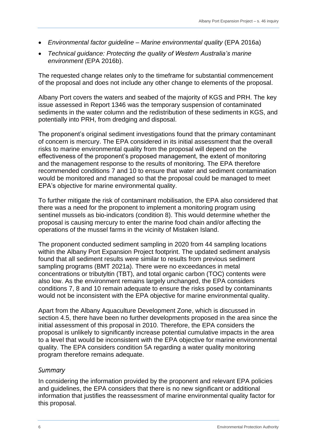- *Environmental factor guideline – Marine environmental quality* (EPA 2016a)
- *Technical guidance: Protecting the quality of Western Australia's marine environment (*EPA 2016b).

The requested change relates only to the timeframe for substantial commencement of the proposal and does not include any other change to elements of the proposal.

Albany Port covers the waters and seabed of the majority of KGS and PRH. The key issue assessed in Report 1346 was the temporary suspension of contaminated sediments in the water column and the redistribution of these sediments in KGS, and potentially into PRH, from dredging and disposal.

The proponent's original sediment investigations found that the primary contaminant of concern is mercury. The EPA considered in its initial assessment that the overall risks to marine environmental quality from the proposal will depend on the effectiveness of the proponent's proposed management, the extent of monitoring and the management response to the results of monitoring. The EPA therefore recommended conditions 7 and 10 to ensure that water and sediment contamination would be monitored and managed so that the proposal could be managed to meet EPA's objective for marine environmental quality.

To further mitigate the risk of contaminant mobilisation, the EPA also considered that there was a need for the proponent to implement a monitoring program using sentinel mussels as bio-indicators (condition 8). This would determine whether the proposal is causing mercury to enter the marine food chain and/or affecting the operations of the mussel farms in the vicinity of Mistaken Island.

The proponent conducted sediment sampling in 2020 from 44 sampling locations within the Albany Port Expansion Project footprint. The updated sediment analysis found that all sediment results were similar to results from previous sediment sampling programs (BMT 2021a). There were no exceedances in metal concentrations or tributyltin (TBT), and total organic carbon (TOC) contents were also low. As the environment remains largely unchanged, the EPA considers conditions 7, 8 and 10 remain adequate to ensure the risks posed by contaminants would not be inconsistent with the EPA objective for marine environmental quality.

Apart from the Albany Aquaculture Development Zone, which is discussed in section 4.5, there have been no further developments proposed in the area since the initial assessment of this proposal in 2010. Therefore, the EPA considers the proposal is unlikely to significantly increase potential cumulative impacts in the area to a level that would be inconsistent with the EPA objective for marine environmental quality. The EPA considers condition 5A regarding a water quality monitoring program therefore remains adequate.

#### *Summary*

In considering the information provided by the proponent and relevant EPA policies and guidelines, the EPA considers that there is no new significant or additional information that justifies the reassessment of marine environmental quality factor for this proposal.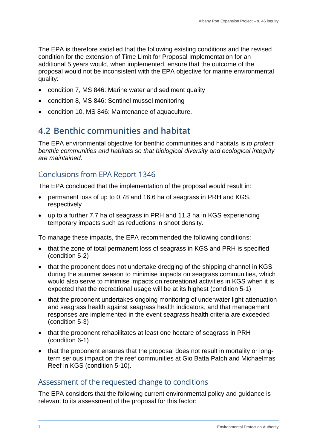The EPA is therefore satisfied that the following existing conditions and the revised condition for the extension of Time Limit for Proposal Implementation for an additional 5 years would, when implemented, ensure that the outcome of the proposal would not be inconsistent with the EPA objective for marine environmental quality:

- condition 7, MS 846: Marine water and sediment quality
- condition 8, MS 846: Sentinel mussel monitoring
- condition 10, MS 846: Maintenance of aquaculture.

## **4.2 Benthic communities and habitat**

The EPA environmental objective for benthic communities and habitats is *to protect benthic communities and habitats so that biological diversity and ecological integrity are maintained*.

### Conclusions from EPA Report 1346

The EPA concluded that the implementation of the proposal would result in:

- permanent loss of up to 0.78 and 16.6 ha of seagrass in PRH and KGS, respectively
- up to a further 7.7 ha of seagrass in PRH and 11.3 ha in KGS experiencing temporary impacts such as reductions in shoot density.

To manage these impacts, the EPA recommended the following conditions:

- that the zone of total permanent loss of seagrass in KGS and PRH is specified (condition 5-2)
- that the proponent does not undertake dredging of the shipping channel in KGS during the summer season to minimise impacts on seagrass communities, which would also serve to minimise impacts on recreational activities in KGS when it is expected that the recreational usage will be at its highest (condition 5-1)
- that the proponent undertakes ongoing monitoring of underwater light attenuation and seagrass health against seagrass health indicators, and that management responses are implemented in the event seagrass health criteria are exceeded (condition 5-3)
- that the proponent rehabilitates at least one hectare of seagrass in PRH (condition 6-1)
- that the proponent ensures that the proposal does not result in mortality or longterm serious impact on the reef communities at Gio Batta Patch and Michaelmas Reef in KGS (condition 5-10).

#### Assessment of the requested change to conditions

The EPA considers that the following current environmental policy and guidance is relevant to its assessment of the proposal for this factor: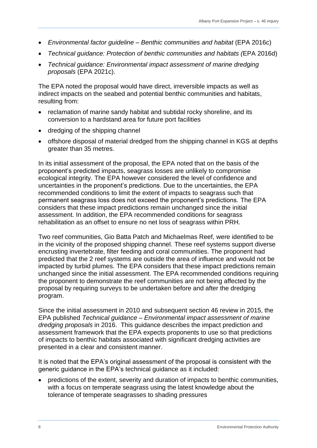- *Environmental factor guideline – Benthic communities and habitat* (EPA 2016c)
- *Technical guidance: Protection of benthic communities and habitats (*EPA 2016d)
- *Technical guidance: Environmental impact assessment of marine dredging proposals* (EPA 2021c).

The EPA noted the proposal would have direct, irreversible impacts as well as indirect impacts on the seabed and potential benthic communities and habitats, resulting from:

- reclamation of marine sandy habitat and subtidal rocky shoreline, and its conversion to a hardstand area for future port facilities
- dredging of the shipping channel
- offshore disposal of material dredged from the shipping channel in KGS at depths greater than 35 metres.

In its initial assessment of the proposal, the EPA noted that on the basis of the proponent's predicted impacts, seagrass losses are unlikely to compromise ecological integrity. The EPA however considered the level of confidence and uncertainties in the proponent's predictions. Due to the uncertainties, the EPA recommended conditions to limit the extent of impacts to seagrass such that permanent seagrass loss does not exceed the proponent's predictions. The EPA considers that these impact predictions remain unchanged since the initial assessment. In addition, the EPA recommended conditions for seagrass rehabilitation as an offset to ensure no net loss of seagrass within PRH.

Two reef communities, Gio Batta Patch and Michaelmas Reef, were identified to be in the vicinity of the proposed shipping channel. These reef systems support diverse encrusting invertebrate, filter feeding and coral communities. The proponent had predicted that the 2 reef systems are outside the area of influence and would not be impacted by turbid plumes. The EPA considers that these impact predictions remain unchanged since the initial assessment. The EPA recommended conditions requiring the proponent to demonstrate the reef communities are not being affected by the proposal by requiring surveys to be undertaken before and after the dredging program.

Since the initial assessment in 2010 and subsequent section 46 review in 2015, the EPA published *Technical guidance – Environmental impact assessment of marine dredging proposals* in 2016. This guidance describes the impact prediction and assessment framework that the EPA expects proponents to use so that predictions of impacts to benthic habitats associated with significant dredging activities are presented in a clear and consistent manner.

It is noted that the EPA's original assessment of the proposal is consistent with the generic guidance in the EPA's technical guidance as it included:

• predictions of the extent, severity and duration of impacts to benthic communities, with a focus on temperate seagrass using the latest knowledge about the tolerance of temperate seagrasses to shading pressures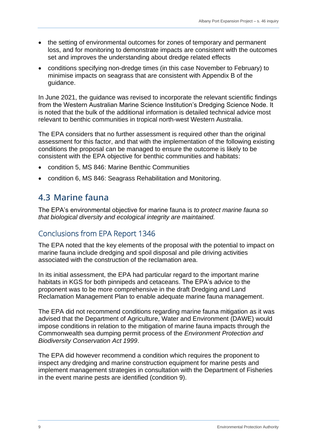- the setting of environmental outcomes for zones of temporary and permanent loss, and for monitoring to demonstrate impacts are consistent with the outcomes set and improves the understanding about dredge related effects
- conditions specifying non-dredge times (in this case November to February) to minimise impacts on seagrass that are consistent with Appendix B of the guidance.

In June 2021, the guidance was revised to incorporate the relevant scientific findings from the Western Australian Marine Science Institution's Dredging Science Node. It is noted that the bulk of the additional information is detailed technical advice most relevant to benthic communities in tropical north-west Western Australia.

The EPA considers that no further assessment is required other than the original assessment for this factor, and that with the implementation of the following existing conditions the proposal can be managed to ensure the outcome is likely to be consistent with the EPA objective for benthic communities and habitats:

- condition 5, MS 846: Marine Benthic Communities
- <span id="page-12-0"></span>• condition 6, MS 846: Seagrass Rehabilitation and Monitoring.

### **4.3 Marine fauna**

The EPA's environmental objective for marine fauna is *to protect marine fauna so that biological diversity and ecological integrity are maintained.*

#### Conclusions from EPA Report 1346

The EPA noted that the key elements of the proposal with the potential to impact on marine fauna include dredging and spoil disposal and pile driving activities associated with the construction of the reclamation area.

In its initial assessment, the EPA had particular regard to the important marine habitats in KGS for both pinnipeds and cetaceans. The EPA's advice to the proponent was to be more comprehensive in the draft Dredging and Land Reclamation Management Plan to enable adequate marine fauna management.

The EPA did not recommend conditions regarding marine fauna mitigation as it was advised that the Department of Agriculture, Water and Environment (DAWE) would impose conditions in relation to the mitigation of marine fauna impacts through the Commonwealth sea dumping permit process of the *Environment Protection and Biodiversity Conservation Act 1999*.

The EPA did however recommend a condition which requires the proponent to inspect any dredging and marine construction equipment for marine pests and implement management strategies in consultation with the Department of Fisheries in the event marine pests are identified (condition 9).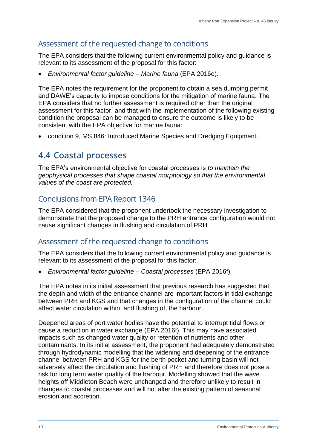### Assessment of the requested change to conditions

The EPA considers that the following current environmental policy and guidance is relevant to its assessment of the proposal for this factor:

• *Environmental factor guideline – Marine fauna* (EPA 2016e).

The EPA notes the requirement for the proponent to obtain a sea dumping permit and DAWE's capacity to impose conditions for the mitigation of marine fauna. The EPA considers that no further assessment is required other than the original assessment for this factor, and that with the implementation of the following existing condition the proposal can be managed to ensure the outcome is likely to be consistent with the EPA objective for marine fauna:

<span id="page-13-0"></span>• condition 9, MS 846: Introduced Marine Species and Dredging Equipment.

### **4.4 Coastal processes**

The EPA's environmental objective for coastal processes is *to maintain the geophysical processes that shape coastal morphology so that the environmental values of the coast are protected.* 

### Conclusions from EPA Report 1346

The EPA considered that the proponent undertook the necessary investigation to demonstrate that the proposed change to the PRH entrance configuration would not cause significant changes in flushing and circulation of PRH.

#### Assessment of the requested change to conditions

The EPA considers that the following current environmental policy and guidance is relevant to its assessment of the proposal for this factor:

• *Environmental factor guideline – Coastal processes* (EPA 2016f).

The EPA notes in its initial assessment that previous research has suggested that the depth and width of the entrance channel are important factors in tidal exchange between PRH and KGS and that changes in the configuration of the channel could affect water circulation within, and flushing of, the harbour.

Deepened areas of port water bodies have the potential to interrupt tidal flows or cause a reduction in water exchange (EPA 2016f). This may have associated impacts such as changed water quality or retention of nutrients and other contaminants. In its initial assessment, the proponent had adequately demonstrated through hydrodynamic modelling that the widening and deepening of the entrance channel between PRH and KGS for the berth pocket and turning basin will not adversely affect the circulation and flushing of PRH and therefore does not pose a risk for long term water quality of the harbour. Modelling showed that the wave heights off Middleton Beach were unchanged and therefore unlikely to result in changes to coastal processes and will not alter the existing pattern of seasonal erosion and accretion.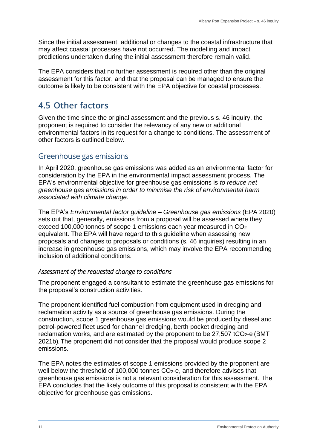Since the initial assessment, additional or changes to the coastal infrastructure that may affect coastal processes have not occurred. The modelling and impact predictions undertaken during the initial assessment therefore remain valid.

The EPA considers that no further assessment is required other than the original assessment for this factor, and that the proposal can be managed to ensure the outcome is likely to be consistent with the EPA objective for coastal processes.

### <span id="page-14-0"></span>**4.5 Other factors**

Given the time since the original assessment and the previous s. 46 inquiry, the proponent is required to consider the relevancy of any new or additional environmental factors in its request for a change to conditions. The assessment of other factors is outlined below.

#### Greenhouse gas emissions

In April 2020, greenhouse gas emissions was added as an environmental factor for consideration by the EPA in the environmental impact assessment process. The EPA's environmental objective for greenhouse gas emissions is *to reduce net greenhouse gas emissions in order to minimise the risk of environmental harm associated with climate change.*

The EPA's *Environmental factor guideline – Greenhouse gas emissions* (EPA 2020) sets out that, generally, emissions from a proposal will be assessed where they exceed 100,000 tonnes of scope 1 emissions each year measured in CO<sub>2</sub> equivalent. The EPA will have regard to this guideline when assessing new proposals and changes to proposals or conditions (s. 46 inquiries) resulting in an increase in greenhouse gas emissions, which may involve the EPA recommending inclusion of additional conditions.

#### *Assessment of the requested change to conditions*

The proponent engaged a consultant to estimate the greenhouse gas emissions for the proposal's construction activities.

The proponent identified fuel combustion from equipment used in dredging and reclamation activity as a source of greenhouse gas emissions. During the construction, scope 1 greenhouse gas emissions would be produced by diesel and petrol-powered fleet used for channel dredging, berth pocket dredging and reclamation works, and are estimated by the proponent to be  $27.507$  tCO<sub>2</sub>-e (BMT 2021b). The proponent did not consider that the proposal would produce scope 2 emissions.

The EPA notes the estimates of scope 1 emissions provided by the proponent are well below the threshold of 100,000 tonnes CO<sub>2</sub>-e, and therefore advises that greenhouse gas emissions is not a relevant consideration for this assessment. The EPA concludes that the likely outcome of this proposal is consistent with the EPA objective for greenhouse gas emissions.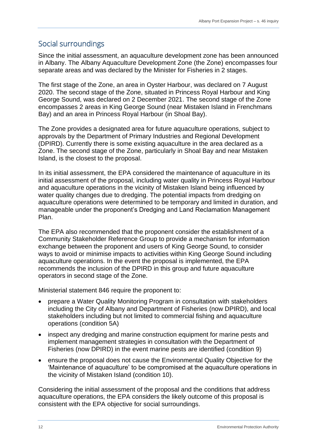#### Social surroundings

Since the initial assessment, an aquaculture development zone has been announced in Albany. The Albany Aquaculture Development Zone (the Zone) encompasses four separate areas and was declared by the Minister for Fisheries in 2 stages.

The first stage of the Zone, an area in Oyster Harbour, was declared on 7 August 2020. The second stage of the Zone, situated in Princess Royal Harbour and King George Sound, was declared on 2 December 2021. The second stage of the Zone encompasses 2 areas in King George Sound (near Mistaken Island in Frenchmans Bay) and an area in Princess Royal Harbour (in Shoal Bay).

The Zone provides a designated area for future aquaculture operations, subject to approvals by the Department of Primary Industries and Regional Development (DPIRD). Currently there is some existing aquaculture in the area declared as a Zone. The second stage of the Zone, particularly in Shoal Bay and near Mistaken Island, is the closest to the proposal.

In its initial assessment, the EPA considered the maintenance of aquaculture in its initial assessment of the proposal, including water quality in Princess Royal Harbour and aquaculture operations in the vicinity of Mistaken Island being influenced by water quality changes due to dredging. The potential impacts from dredging on aquaculture operations were determined to be temporary and limited in duration, and manageable under the proponent's Dredging and Land Reclamation Management Plan.

The EPA also recommended that the proponent consider the establishment of a Community Stakeholder Reference Group to provide a mechanism for information exchange between the proponent and users of King George Sound, to consider ways to avoid or minimise impacts to activities within King George Sound including aquaculture operations. In the event the proposal is implemented, the EPA recommends the inclusion of the DPIRD in this group and future aquaculture operators in second stage of the Zone.

Ministerial statement 846 require the proponent to:

- prepare a Water Quality Monitoring Program in consultation with stakeholders including the City of Albany and Department of Fisheries (now DPIRD), and local stakeholders including but not limited to commercial fishing and aquaculture operations (condition 5A)
- inspect any dredging and marine construction equipment for marine pests and implement management strategies in consultation with the Department of Fisheries (now DPIRD) in the event marine pests are identified (condition 9)
- ensure the proposal does not cause the Environmental Quality Objective for the 'Maintenance of aquaculture' to be compromised at the aquaculture operations in the vicinity of Mistaken Island (condition 10).

Considering the initial assessment of the proposal and the conditions that address aquaculture operations, the EPA considers the likely outcome of this proposal is consistent with the EPA objective for social surroundings.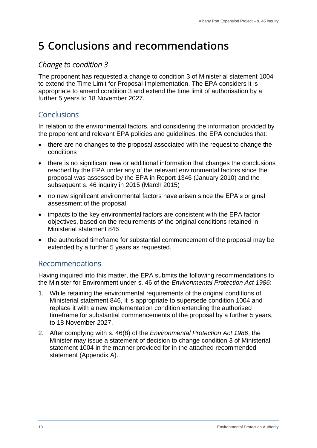## <span id="page-16-0"></span>**5 Conclusions and recommendations**

### *Change to condition 3*

The proponent has requested a change to condition 3 of Ministerial statement 1004 to extend the Time Limit for Proposal Implementation. The EPA considers it is appropriate to amend condition 3 and extend the time limit of authorisation by a further 5 years to 18 November 2027.

### Conclusions

In relation to the environmental factors, and considering the information provided by the proponent and relevant EPA policies and guidelines, the EPA concludes that:

- there are no changes to the proposal associated with the request to change the conditions
- there is no significant new or additional information that changes the conclusions reached by the EPA under any of the relevant environmental factors since the proposal was assessed by the EPA in Report 1346 (January 2010) and the subsequent s. 46 inquiry in 2015 (March 2015)
- no new significant environmental factors have arisen since the EPA's original assessment of the proposal
- impacts to the key environmental factors are consistent with the EPA factor objectives, based on the requirements of the original conditions retained in Ministerial statement 846
- the authorised timeframe for substantial commencement of the proposal may be extended by a further 5 years as requested.

### Recommendations

Having inquired into this matter, the EPA submits the following recommendations to the Minister for Environment under s. 46 of the *Environmental Protection Act 1986*:

- 1. While retaining the environmental requirements of the original conditions of Ministerial statement 846, it is appropriate to supersede condition 1004 and replace it with a new implementation condition extending the authorised timeframe for substantial commencements of the proposal by a further 5 years, to 18 November 2027.
- 2. After complying with s. 46(8) of the *Environmental Protection Act 1986*, the Minister may issue a statement of decision to change condition 3 of Ministerial statement 1004 in the manner provided for in the attached recommended statement (Appendix A).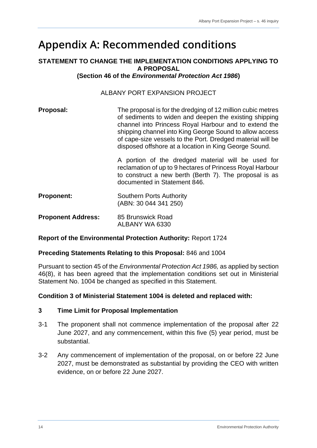## <span id="page-17-0"></span>**Appendix A: Recommended conditions**

#### **STATEMENT TO CHANGE THE IMPLEMENTATION CONDITIONS APPLYING TO A PROPOSAL**

**(Section 46 of the** *Environmental Protection Act 1986***)**

#### ALBANY PORT EXPANSION PROJECT

| Proposal:                 | The proposal is for the dredging of 12 million cubic metres<br>of sediments to widen and deepen the existing shipping<br>channel into Princess Royal Harbour and to extend the<br>shipping channel into King George Sound to allow access<br>of cape-size vessels to the Port. Dredged material will be<br>disposed offshore at a location in King George Sound. |
|---------------------------|------------------------------------------------------------------------------------------------------------------------------------------------------------------------------------------------------------------------------------------------------------------------------------------------------------------------------------------------------------------|
|                           | A portion of the dredged material will be used for<br>reclamation of up to 9 hectares of Princess Royal Harbour<br>to construct a new berth (Berth 7). The proposal is as<br>documented in Statement 846.                                                                                                                                                        |
| <b>Proponent:</b>         | <b>Southern Ports Authority</b><br>(ABN: 30 044 341 250)                                                                                                                                                                                                                                                                                                         |
| <b>Proponent Address:</b> | 85 Brunswick Road<br>ALBANY WA 6330                                                                                                                                                                                                                                                                                                                              |

#### **Report of the Environmental Protection Authority:** Report 1724

#### **Preceding Statements Relating to this Proposal:** 846 and 1004

Pursuant to section 45 of the *Environmental Protection Act 1986,* as applied by section 46(8), it has been agreed that the implementation conditions set out in Ministerial Statement No. 1004 be changed as specified in this Statement.

#### **Condition 3 of Ministerial Statement 1004 is deleted and replaced with:**

#### **3 Time Limit for Proposal Implementation**

- 3-1 The proponent shall not commence implementation of the proposal after 22 June 2027, and any commencement, within this five (5) year period, must be substantial.
- 3-2 Any commencement of implementation of the proposal, on or before 22 June 2027, must be demonstrated as substantial by providing the CEO with written evidence, on or before 22 June 2027.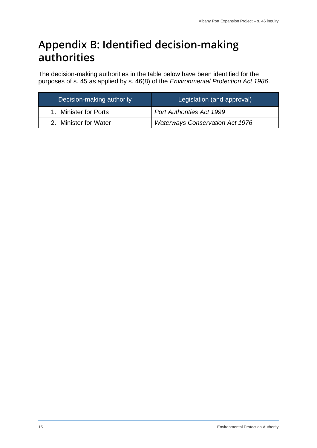## <span id="page-18-0"></span>**Appendix B: Identified decision-making authorities**

The decision-making authorities in the table below have been identified for the purposes of s. 45 as applied by s. 46(8) of the *Environmental Protection Act 1986*.

| Decision-making authority | Legislation (and approval)             |
|---------------------------|----------------------------------------|
| 1. Minister for Ports     | <b>Port Authorities Act 1999</b>       |
| 2. Minister for Water     | <b>Waterways Conservation Act 1976</b> |